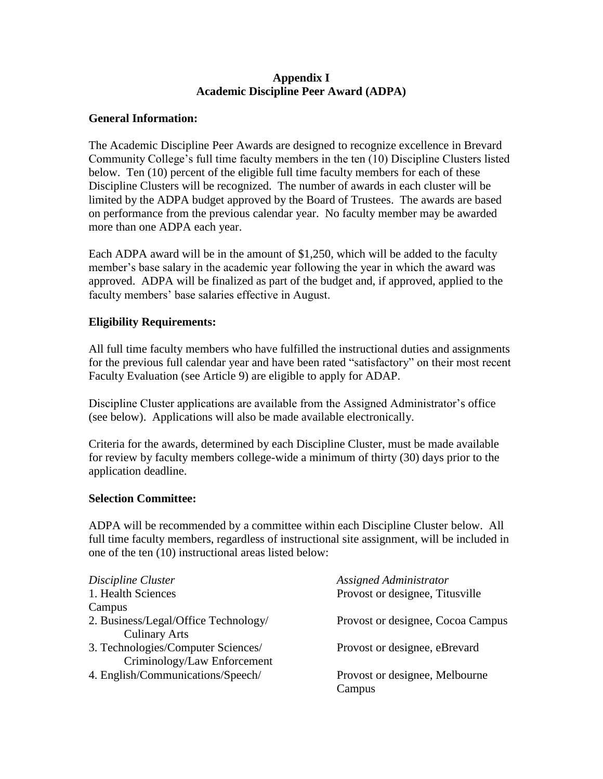## **Appendix I Academic Discipline Peer Award (ADPA)**

### **General Information:**

The Academic Discipline Peer Awards are designed to recognize excellence in Brevard Community College's full time faculty members in the ten (10) Discipline Clusters listed below. Ten (10) percent of the eligible full time faculty members for each of these Discipline Clusters will be recognized. The number of awards in each cluster will be limited by the ADPA budget approved by the Board of Trustees. The awards are based on performance from the previous calendar year. No faculty member may be awarded more than one ADPA each year.

Each ADPA award will be in the amount of \$1,250, which will be added to the faculty member's base salary in the academic year following the year in which the award was approved. ADPA will be finalized as part of the budget and, if approved, applied to the faculty members' base salaries effective in August.

# **Eligibility Requirements:**

All full time faculty members who have fulfilled the instructional duties and assignments for the previous full calendar year and have been rated "satisfactory" on their most recent Faculty Evaluation (see Article 9) are eligible to apply for ADAP.

Discipline Cluster applications are available from the Assigned Administrator's office (see below). Applications will also be made available electronically.

Criteria for the awards, determined by each Discipline Cluster, must be made available for review by faculty members college-wide a minimum of thirty (30) days prior to the application deadline.

#### **Selection Committee:**

ADPA will be recommended by a committee within each Discipline Cluster below. All full time faculty members, regardless of instructional site assignment, will be included in one of the ten (10) instructional areas listed below:

| Discipline Cluster                   | Assigned Administrator            |
|--------------------------------------|-----------------------------------|
| 1. Health Sciences                   | Provost or designee, Titusville   |
| Campus                               |                                   |
| 2. Business/Legal/Office Technology/ | Provost or designee, Cocoa Campus |
| <b>Culinary Arts</b>                 |                                   |
| 3. Technologies/Computer Sciences/   | Provost or designee, eBrevard     |
| Criminology/Law Enforcement          |                                   |
| 4. English/Communications/Speech/    | Provost or designee, Melbourne    |
|                                      | Campus                            |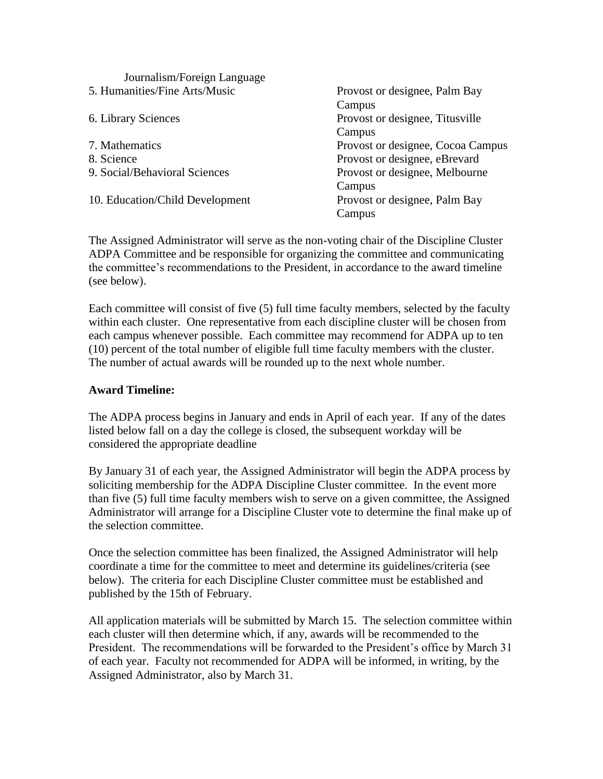| Journalism/Foreign Language     |                                   |
|---------------------------------|-----------------------------------|
| 5. Humanities/Fine Arts/Music   | Provost or designee, Palm Bay     |
|                                 | Campus                            |
| 6. Library Sciences             | Provost or designee, Titusville   |
|                                 | Campus                            |
| 7. Mathematics                  | Provost or designee, Cocoa Campus |
| 8. Science                      | Provost or designee, eBrevard     |
| 9. Social/Behavioral Sciences   | Provost or designee, Melbourne    |
|                                 | Campus                            |
| 10. Education/Child Development | Provost or designee, Palm Bay     |
|                                 | Campus                            |

The Assigned Administrator will serve as the non-voting chair of the Discipline Cluster ADPA Committee and be responsible for organizing the committee and communicating the committee's recommendations to the President, in accordance to the award timeline (see below).

Each committee will consist of five (5) full time faculty members, selected by the faculty within each cluster. One representative from each discipline cluster will be chosen from each campus whenever possible. Each committee may recommend for ADPA up to ten (10) percent of the total number of eligible full time faculty members with the cluster. The number of actual awards will be rounded up to the next whole number.

### **Award Timeline:**

The ADPA process begins in January and ends in April of each year. If any of the dates listed below fall on a day the college is closed, the subsequent workday will be considered the appropriate deadline

By January 31 of each year, the Assigned Administrator will begin the ADPA process by soliciting membership for the ADPA Discipline Cluster committee. In the event more than five (5) full time faculty members wish to serve on a given committee, the Assigned Administrator will arrange for a Discipline Cluster vote to determine the final make up of the selection committee.

Once the selection committee has been finalized, the Assigned Administrator will help coordinate a time for the committee to meet and determine its guidelines/criteria (see below). The criteria for each Discipline Cluster committee must be established and published by the 15th of February.

All application materials will be submitted by March 15. The selection committee within each cluster will then determine which, if any, awards will be recommended to the President. The recommendations will be forwarded to the President's office by March 31 of each year. Faculty not recommended for ADPA will be informed, in writing, by the Assigned Administrator, also by March 31.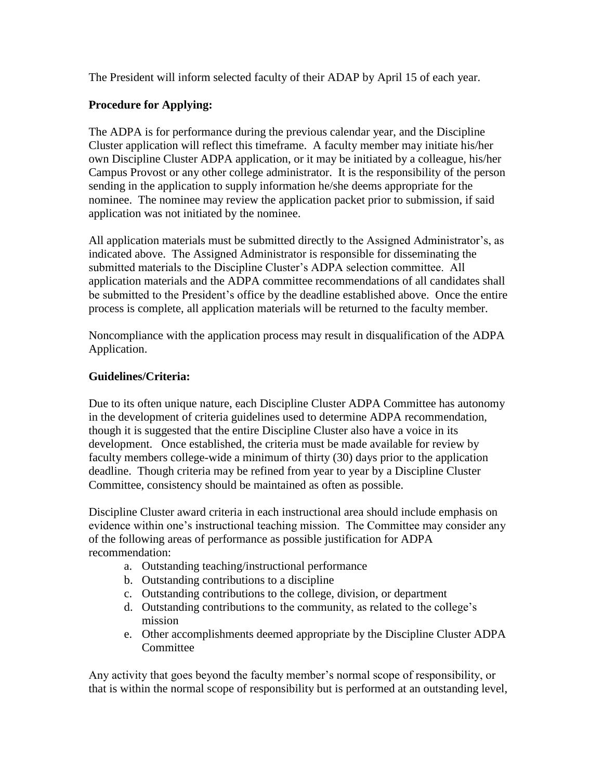The President will inform selected faculty of their ADAP by April 15 of each year.

# **Procedure for Applying:**

The ADPA is for performance during the previous calendar year, and the Discipline Cluster application will reflect this timeframe. A faculty member may initiate his/her own Discipline Cluster ADPA application, or it may be initiated by a colleague, his/her Campus Provost or any other college administrator. It is the responsibility of the person sending in the application to supply information he/she deems appropriate for the nominee. The nominee may review the application packet prior to submission, if said application was not initiated by the nominee.

All application materials must be submitted directly to the Assigned Administrator's, as indicated above. The Assigned Administrator is responsible for disseminating the submitted materials to the Discipline Cluster's ADPA selection committee. All application materials and the ADPA committee recommendations of all candidates shall be submitted to the President's office by the deadline established above. Once the entire process is complete, all application materials will be returned to the faculty member.

Noncompliance with the application process may result in disqualification of the ADPA Application.

# **Guidelines/Criteria:**

Due to its often unique nature, each Discipline Cluster ADPA Committee has autonomy in the development of criteria guidelines used to determine ADPA recommendation, though it is suggested that the entire Discipline Cluster also have a voice in its development. Once established, the criteria must be made available for review by faculty members college-wide a minimum of thirty (30) days prior to the application deadline. Though criteria may be refined from year to year by a Discipline Cluster Committee, consistency should be maintained as often as possible.

Discipline Cluster award criteria in each instructional area should include emphasis on evidence within one's instructional teaching mission. The Committee may consider any of the following areas of performance as possible justification for ADPA recommendation:

- a. Outstanding teaching/instructional performance
- b. Outstanding contributions to a discipline
- c. Outstanding contributions to the college, division, or department
- d. Outstanding contributions to the community, as related to the college's mission
- e. Other accomplishments deemed appropriate by the Discipline Cluster ADPA **Committee**

Any activity that goes beyond the faculty member's normal scope of responsibility, or that is within the normal scope of responsibility but is performed at an outstanding level,